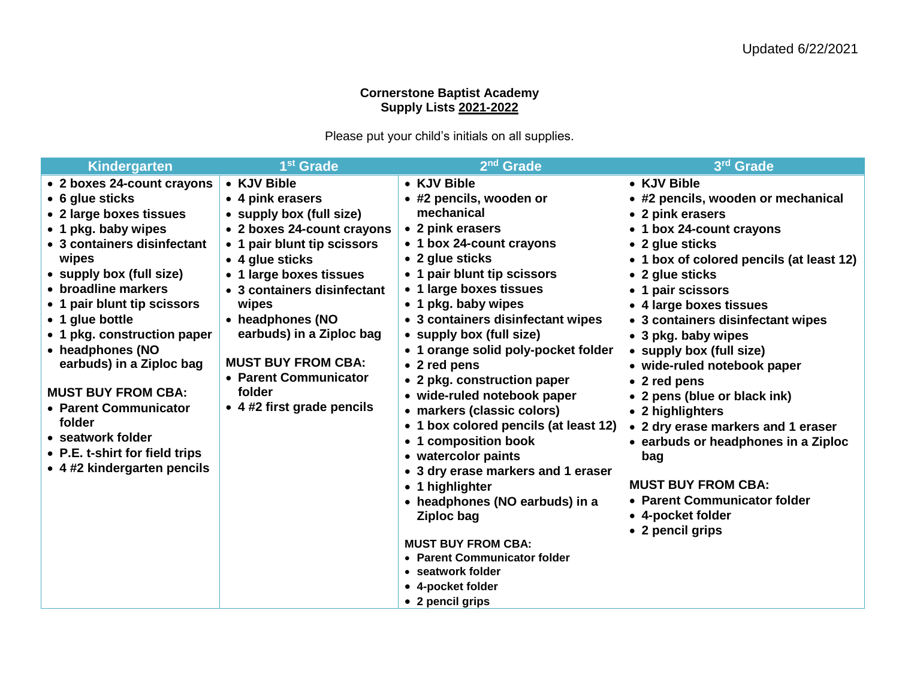## **Cornerstone Baptist Academy Supply Lists 2021-2022**

Please put your child's initials on all supplies.

| Kindergarten                                                                                                                                                                                                                                                                                                                                                                                                                                                                      | 1 <sup>st</sup> Grade                                                                                                                                                                                                                                                                                                                                        | 2 <sup>nd</sup> Grade                                                                                                                                                                                                                                                                                                                                                                                                                                                                                                                                                                                                                                                                                                                                    | 3rd Grade                                                                                                                                                                                                                                                                                                                                                                                                                                                                                                                                                                                                                |
|-----------------------------------------------------------------------------------------------------------------------------------------------------------------------------------------------------------------------------------------------------------------------------------------------------------------------------------------------------------------------------------------------------------------------------------------------------------------------------------|--------------------------------------------------------------------------------------------------------------------------------------------------------------------------------------------------------------------------------------------------------------------------------------------------------------------------------------------------------------|----------------------------------------------------------------------------------------------------------------------------------------------------------------------------------------------------------------------------------------------------------------------------------------------------------------------------------------------------------------------------------------------------------------------------------------------------------------------------------------------------------------------------------------------------------------------------------------------------------------------------------------------------------------------------------------------------------------------------------------------------------|--------------------------------------------------------------------------------------------------------------------------------------------------------------------------------------------------------------------------------------------------------------------------------------------------------------------------------------------------------------------------------------------------------------------------------------------------------------------------------------------------------------------------------------------------------------------------------------------------------------------------|
| • 2 boxes 24-count crayons<br>• 6 glue sticks<br>• 2 large boxes tissues<br>• 1 pkg. baby wipes<br>• 3 containers disinfectant<br>wipes<br>• supply box (full size)<br>• broadline markers<br>• 1 pair blunt tip scissors<br>• 1 glue bottle<br>• 1 pkg. construction paper<br>• headphones (NO<br>earbuds) in a Ziploc bag<br><b>MUST BUY FROM CBA:</b><br>• Parent Communicator<br>folder<br>• seatwork folder<br>• P.E. t-shirt for field trips<br>• 4 #2 kindergarten pencils | • KJV Bible<br>• 4 pink erasers<br>• supply box (full size)<br>• 2 boxes 24-count crayons<br>• 1 pair blunt tip scissors<br>• 4 glue sticks<br>• 1 large boxes tissues<br>• 3 containers disinfectant<br>wipes<br>• headphones (NO<br>earbuds) in a Ziploc bag<br><b>MUST BUY FROM CBA:</b><br>• Parent Communicator<br>folder<br>• 4 #2 first grade pencils | • KJV Bible<br>• #2 pencils, wooden or<br>mechanical<br>• 2 pink erasers<br>• 1 box 24-count crayons<br>• 2 glue sticks<br>• 1 pair blunt tip scissors<br>• 1 large boxes tissues<br>• 1 pkg. baby wipes<br>• 3 containers disinfectant wipes<br>• supply box (full size)<br>• 1 orange solid poly-pocket folder<br>• 2 red pens<br>• 2 pkg. construction paper<br>• wide-ruled notebook paper<br>• markers (classic colors)<br>• 1 box colored pencils (at least 12)<br>• 1 composition book<br>• watercolor paints<br>• 3 dry erase markers and 1 eraser<br>• 1 highlighter<br>• headphones (NO earbuds) in a<br>Ziploc bag<br><b>MUST BUY FROM CBA:</b><br>• Parent Communicator folder<br>• seatwork folder<br>• 4-pocket folder<br>• 2 pencil grips | • KJV Bible<br>• #2 pencils, wooden or mechanical<br>• 2 pink erasers<br>• 1 box 24-count crayons<br>• 2 glue sticks<br>• 1 box of colored pencils (at least 12)<br>• 2 glue sticks<br>• 1 pair scissors<br>• 4 large boxes tissues<br>• 3 containers disinfectant wipes<br>• 3 pkg. baby wipes<br>• supply box (full size)<br>• wide-ruled notebook paper<br>• 2 red pens<br>• 2 pens (blue or black ink)<br>• 2 highlighters<br>• 2 dry erase markers and 1 eraser<br>• earbuds or headphones in a Ziploc<br>bag<br><b>MUST BUY FROM CBA:</b><br>• Parent Communicator folder<br>• 4-pocket folder<br>• 2 pencil grips |